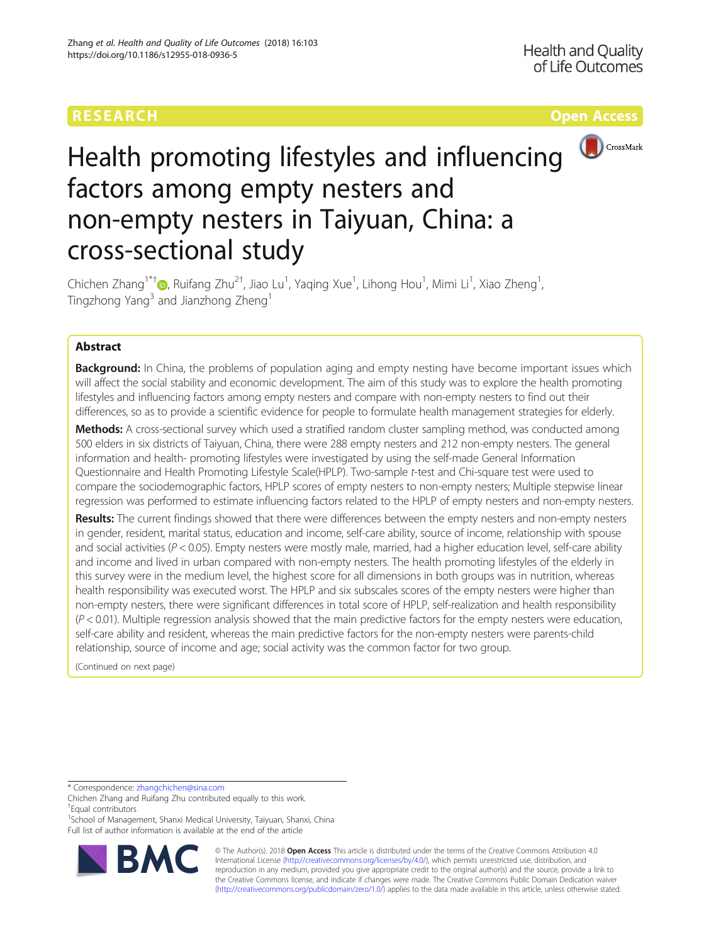## **RESEARCH CHE Open Access CHE Open Access**



# Health promoting lifestyles and influencing factors among empty nesters and non-empty nesters in Taiyuan, China: a cross-sectional study

Chichen Zhang<sup>1\*†</sup>®, Ruifang Zhu<sup>2†</sup>, Jiao Lu<sup>1</sup>, Yaqing Xue<sup>1</sup>, Lihong Hou<sup>1</sup>, Mimi Li<sup>1</sup>, Xiao Zheng<sup>1</sup> , Tingzhong Yang<sup>3</sup> and Jianzhong Zheng<sup>1</sup>

### Abstract

**Background:** In China, the problems of population aging and empty nesting have become important issues which will affect the social stability and economic development. The aim of this study was to explore the health promoting lifestyles and influencing factors among empty nesters and compare with non-empty nesters to find out their differences, so as to provide a scientific evidence for people to formulate health management strategies for elderly.

Methods: A cross-sectional survey which used a stratified random cluster sampling method, was conducted among 500 elders in six districts of Taiyuan, China, there were 288 empty nesters and 212 non-empty nesters. The general information and health- promoting lifestyles were investigated by using the self-made General Information Questionnaire and Health Promoting Lifestyle Scale(HPLP). Two-sample t-test and Chi-square test were used to compare the sociodemographic factors, HPLP scores of empty nesters to non-empty nesters; Multiple stepwise linear regression was performed to estimate influencing factors related to the HPLP of empty nesters and non-empty nesters.

Results: The current findings showed that there were differences between the empty nesters and non-empty nesters in gender, resident, marital status, education and income, self-care ability, source of income, relationship with spouse and social activities ( $P < 0.05$ ). Empty nesters were mostly male, married, had a higher education level, self-care ability and income and lived in urban compared with non-empty nesters. The health promoting lifestyles of the elderly in this survey were in the medium level, the highest score for all dimensions in both groups was in nutrition, whereas health responsibility was executed worst. The HPLP and six subscales scores of the empty nesters were higher than non-empty nesters, there were significant differences in total score of HPLP, self-realization and health responsibility  $(P < 0.01)$ . Multiple regression analysis showed that the main predictive factors for the empty nesters were education, self-care ability and resident, whereas the main predictive factors for the non-empty nesters were parents-child relationship, source of income and age; social activity was the common factor for two group.

(Continued on next page)

\* Correspondence: [zhangchichen@sina.com](mailto:zhangchichen@sina.com)

<sup>1</sup>School of Management, Shanxi Medical University, Taiyuan, Shanxi, China Full list of author information is available at the end of the article



© The Author(s). 2018 Open Access This article is distributed under the terms of the Creative Commons Attribution 4.0 International License [\(http://creativecommons.org/licenses/by/4.0/](http://creativecommons.org/licenses/by/4.0/)), which permits unrestricted use, distribution, and reproduction in any medium, provided you give appropriate credit to the original author(s) and the source, provide a link to the Creative Commons license, and indicate if changes were made. The Creative Commons Public Domain Dedication waiver [\(http://creativecommons.org/publicdomain/zero/1.0/](http://creativecommons.org/publicdomain/zero/1.0/)) applies to the data made available in this article, unless otherwise stated.

Chichen Zhang and Ruifang Zhu contributed equally to this work. † Equal contributors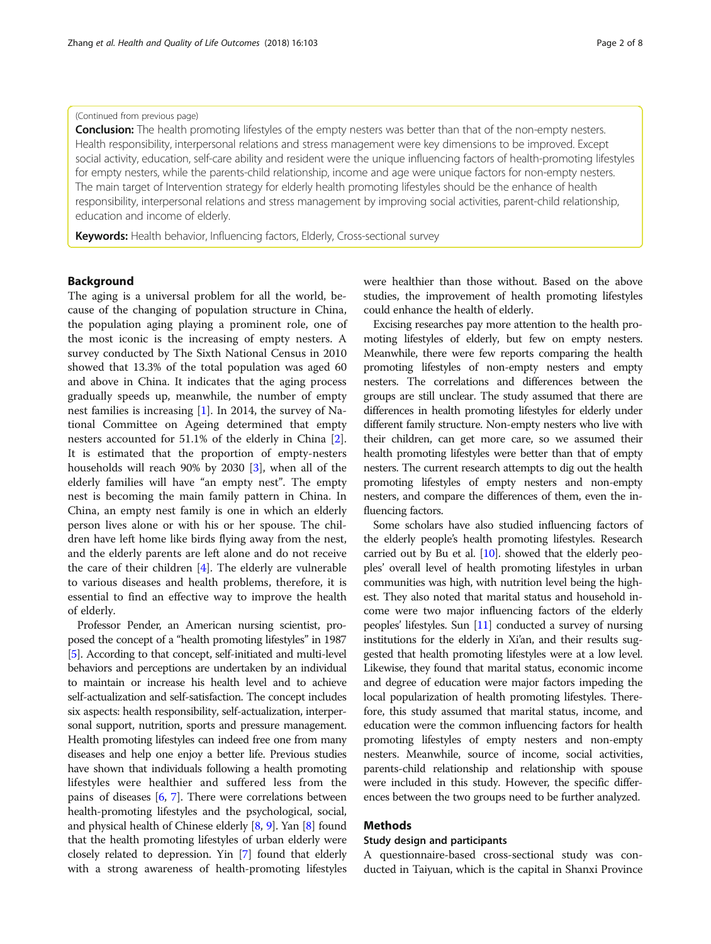#### (Continued from previous page)

**Conclusion:** The health promoting lifestyles of the empty nesters was better than that of the non-empty nesters. Health responsibility, interpersonal relations and stress management were key dimensions to be improved. Except social activity, education, self-care ability and resident were the unique influencing factors of health-promoting lifestyles for empty nesters, while the parents-child relationship, income and age were unique factors for non-empty nesters. The main target of Intervention strategy for elderly health promoting lifestyles should be the enhance of health responsibility, interpersonal relations and stress management by improving social activities, parent-child relationship, education and income of elderly.

Keywords: Health behavior, Influencing factors, Elderly, Cross-sectional survey

#### Background

The aging is a universal problem for all the world, because of the changing of population structure in China, the population aging playing a prominent role, one of the most iconic is the increasing of empty nesters. A survey conducted by The Sixth National Census in 2010 showed that 13.3% of the total population was aged 60 and above in China. It indicates that the aging process gradually speeds up, meanwhile, the number of empty nest families is increasing [\[1](#page-7-0)]. In 2014, the survey of National Committee on Ageing determined that empty nesters accounted for 51.1% of the elderly in China [\[2](#page-7-0)]. It is estimated that the proportion of empty-nesters households will reach 90% by 2030 [\[3](#page-7-0)], when all of the elderly families will have "an empty nest". The empty nest is becoming the main family pattern in China. In China, an empty nest family is one in which an elderly person lives alone or with his or her spouse. The children have left home like birds flying away from the nest, and the elderly parents are left alone and do not receive the care of their children [[4\]](#page-7-0). The elderly are vulnerable to various diseases and health problems, therefore, it is essential to find an effective way to improve the health of elderly.

Professor Pender, an American nursing scientist, proposed the concept of a "health promoting lifestyles" in 1987 [[5](#page-7-0)]. According to that concept, self-initiated and multi-level behaviors and perceptions are undertaken by an individual to maintain or increase his health level and to achieve self-actualization and self-satisfaction. The concept includes six aspects: health responsibility, self-actualization, interpersonal support, nutrition, sports and pressure management. Health promoting lifestyles can indeed free one from many diseases and help one enjoy a better life. Previous studies have shown that individuals following a health promoting lifestyles were healthier and suffered less from the pains of diseases [[6,](#page-7-0) [7](#page-7-0)]. There were correlations between health-promoting lifestyles and the psychological, social, and physical health of Chinese elderly [\[8](#page-7-0), [9\]](#page-7-0). Yan [\[8](#page-7-0)] found that the health promoting lifestyles of urban elderly were closely related to depression. Yin [\[7\]](#page-7-0) found that elderly with a strong awareness of health-promoting lifestyles

were healthier than those without. Based on the above studies, the improvement of health promoting lifestyles could enhance the health of elderly.

Excising researches pay more attention to the health promoting lifestyles of elderly, but few on empty nesters. Meanwhile, there were few reports comparing the health promoting lifestyles of non-empty nesters and empty nesters. The correlations and differences between the groups are still unclear. The study assumed that there are differences in health promoting lifestyles for elderly under different family structure. Non-empty nesters who live with their children, can get more care, so we assumed their health promoting lifestyles were better than that of empty nesters. The current research attempts to dig out the health promoting lifestyles of empty nesters and non-empty nesters, and compare the differences of them, even the influencing factors.

Some scholars have also studied influencing factors of the elderly people's health promoting lifestyles. Research carried out by Bu et al. [\[10](#page-7-0)]. showed that the elderly peoples' overall level of health promoting lifestyles in urban communities was high, with nutrition level being the highest. They also noted that marital status and household income were two major influencing factors of the elderly peoples' lifestyles. Sun [\[11](#page-7-0)] conducted a survey of nursing institutions for the elderly in Xi'an, and their results suggested that health promoting lifestyles were at a low level. Likewise, they found that marital status, economic income and degree of education were major factors impeding the local popularization of health promoting lifestyles. Therefore, this study assumed that marital status, income, and education were the common influencing factors for health promoting lifestyles of empty nesters and non-empty nesters. Meanwhile, source of income, social activities, parents-child relationship and relationship with spouse were included in this study. However, the specific differences between the two groups need to be further analyzed.

#### Methods

#### Study design and participants

A questionnaire-based cross-sectional study was conducted in Taiyuan, which is the capital in Shanxi Province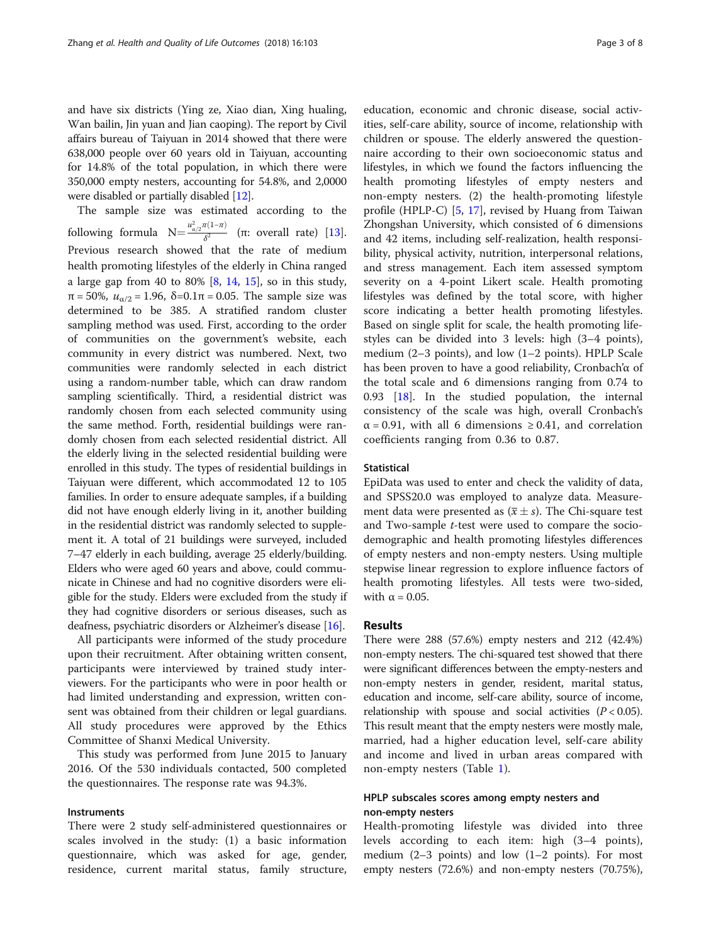and have six districts (Ying ze, Xiao dian, Xing hualing, Wan bailin, Jin yuan and Jian caoping). The report by Civil affairs bureau of Taiyuan in 2014 showed that there were 638,000 people over 60 years old in Taiyuan, accounting for 14.8% of the total population, in which there were 350,000 empty nesters, accounting for 54.8%, and 2,0000 were disabled or partially disabled [[12](#page-7-0)].

The sample size was estimated according to the following formula  $N = \frac{u_{\alpha/2}^2 \pi (1-\pi)}{\delta^2}$  (π: overall rate) [\[13](#page-7-0)]. Previous research showed that the rate of medium health promoting lifestyles of the elderly in China ranged a large gap from 40 to 80%  $[8, 14, 15]$  $[8, 14, 15]$  $[8, 14, 15]$  $[8, 14, 15]$  $[8, 14, 15]$  $[8, 14, 15]$ , so in this study,  $π = 50\%$ ,  $u_{α/2} = 1.96$ ,  $δ = 0.1π = 0.05$ . The sample size was determined to be 385. A stratified random cluster sampling method was used. First, according to the order of communities on the government's website, each community in every district was numbered. Next, two communities were randomly selected in each district using a random-number table, which can draw random sampling scientifically. Third, a residential district was randomly chosen from each selected community using the same method. Forth, residential buildings were randomly chosen from each selected residential district. All the elderly living in the selected residential building were enrolled in this study. The types of residential buildings in Taiyuan were different, which accommodated 12 to 105 families. In order to ensure adequate samples, if a building did not have enough elderly living in it, another building in the residential district was randomly selected to supplement it. A total of 21 buildings were surveyed, included 7–47 elderly in each building, average 25 elderly/building. Elders who were aged 60 years and above, could communicate in Chinese and had no cognitive disorders were eligible for the study. Elders were excluded from the study if they had cognitive disorders or serious diseases, such as deafness, psychiatric disorders or Alzheimer's disease [\[16\]](#page-7-0).

All participants were informed of the study procedure upon their recruitment. After obtaining written consent, participants were interviewed by trained study interviewers. For the participants who were in poor health or had limited understanding and expression, written consent was obtained from their children or legal guardians. All study procedures were approved by the Ethics Committee of Shanxi Medical University.

This study was performed from June 2015 to January 2016. Of the 530 individuals contacted, 500 completed the questionnaires. The response rate was 94.3%.

#### Instruments

There were 2 study self-administered questionnaires or scales involved in the study: (1) a basic information questionnaire, which was asked for age, gender, residence, current marital status, family structure,

education, economic and chronic disease, social activities, self-care ability, source of income, relationship with children or spouse. The elderly answered the questionnaire according to their own socioeconomic status and lifestyles, in which we found the factors influencing the health promoting lifestyles of empty nesters and non-empty nesters. (2) the health-promoting lifestyle profile (HPLP-C) [[5,](#page-7-0) [17\]](#page-7-0), revised by Huang from Taiwan Zhongshan University, which consisted of 6 dimensions and 42 items, including self-realization, health responsibility, physical activity, nutrition, interpersonal relations, and stress management. Each item assessed symptom severity on a 4-point Likert scale. Health promoting lifestyles was defined by the total score, with higher score indicating a better health promoting lifestyles. Based on single split for scale, the health promoting lifestyles can be divided into 3 levels: high (3–4 points), medium (2–3 points), and low (1–2 points). HPLP Scale has been proven to have a good reliability, Cronbach'α of the total scale and 6 dimensions ranging from 0.74 to 0.93 [[18\]](#page-7-0). In the studied population, the internal consistency of the scale was high, overall Cronbach's  $\alpha$  = 0.91, with all 6 dimensions  $\geq$  0.41, and correlation coefficients ranging from 0.36 to 0.87.

#### **Statistical**

EpiData was used to enter and check the validity of data, and SPSS20.0 was employed to analyze data. Measurement data were presented as  $(\bar{x} \pm s)$ . The Chi-square test and Two-sample t-test were used to compare the sociodemographic and health promoting lifestyles differences of empty nesters and non-empty nesters. Using multiple stepwise linear regression to explore influence factors of health promoting lifestyles. All tests were two-sided, with  $\alpha = 0.05$ .

#### Results

There were 288 (57.6%) empty nesters and 212 (42.4%) non-empty nesters. The chi-squared test showed that there were significant differences between the empty-nesters and non-empty nesters in gender, resident, marital status, education and income, self-care ability, source of income, relationship with spouse and social activities  $(P < 0.05)$ . This result meant that the empty nesters were mostly male, married, had a higher education level, self-care ability and income and lived in urban areas compared with non-empty nesters (Table [1](#page-3-0)).

#### HPLP subscales scores among empty nesters and non-empty nesters

Health-promoting lifestyle was divided into three levels according to each item: high (3–4 points), medium  $(2-3 \text{ points})$  and low  $(1-2 \text{ points})$ . For most empty nesters (72.6%) and non-empty nesters (70.75%),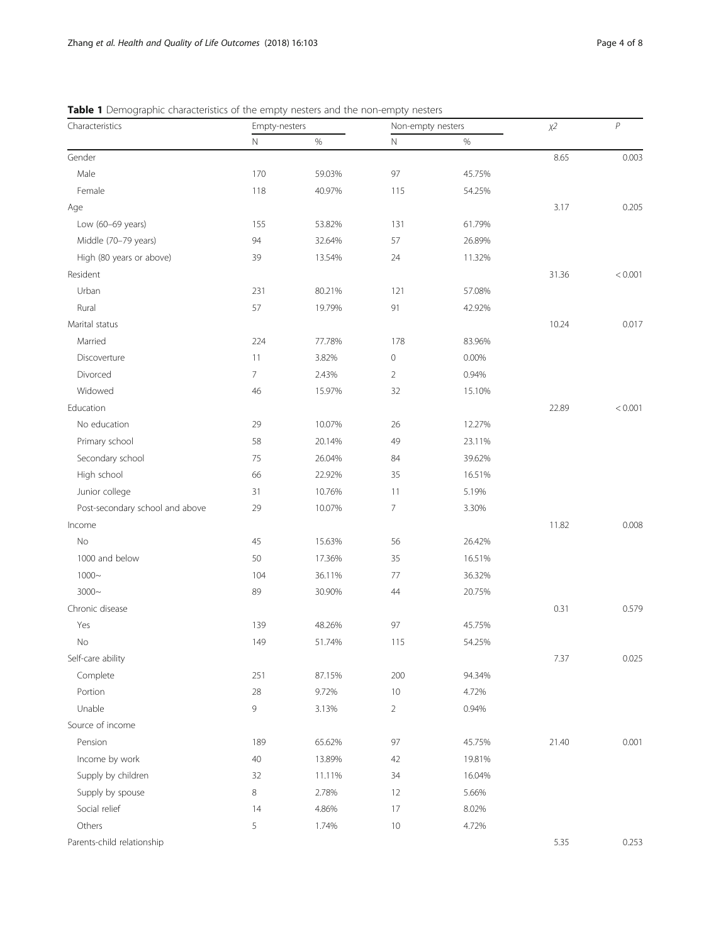| Characteristics                 | Empty-nesters  |        | Non-empty nesters |        | $\chi2$ | $\boldsymbol{P}$ |
|---------------------------------|----------------|--------|-------------------|--------|---------|------------------|
|                                 | $\mathsf N$    | $\%$   | $\mathbb N$       | $\%$   |         |                  |
| Gender                          |                |        |                   |        | 8.65    | 0.003            |
| Male                            | 170            | 59.03% | 97                | 45.75% |         |                  |
| Female                          | 118            | 40.97% | 115               | 54.25% |         |                  |
| Age                             |                |        |                   |        | 3.17    | 0.205            |
| Low (60-69 years)               | 155            | 53.82% | 131               | 61.79% |         |                  |
| Middle (70-79 years)            | 94             | 32.64% | 57                | 26.89% |         |                  |
| High (80 years or above)        | 39             | 13.54% | 24                | 11.32% |         |                  |
| Resident                        |                |        |                   |        | 31.36   | < 0.001          |
| Urban                           | 231            | 80.21% | 121               | 57.08% |         |                  |
| Rural                           | 57             | 19.79% | 91                | 42.92% |         |                  |
| Marital status                  |                |        |                   |        | 10.24   | 0.017            |
| Married                         | 224            | 77.78% | 178               | 83.96% |         |                  |
| Discoverture                    | 11             | 3.82%  | 0                 | 0.00%  |         |                  |
| Divorced                        | $\overline{7}$ | 2.43%  | $\overline{2}$    | 0.94%  |         |                  |
| Widowed                         | 46             | 15.97% | 32                | 15.10% |         |                  |
| Education                       |                |        |                   |        | 22.89   | < 0.001          |
| No education                    | 29             | 10.07% | 26                | 12.27% |         |                  |
| Primary school                  | 58             | 20.14% | 49                | 23.11% |         |                  |
| Secondary school                | 75             | 26.04% | 84                | 39.62% |         |                  |
| High school                     | 66             | 22.92% | 35                | 16.51% |         |                  |
| Junior college                  | 31             | 10.76% | 11                | 5.19%  |         |                  |
| Post-secondary school and above | 29             | 10.07% | 7                 | 3.30%  |         |                  |
| Income                          |                |        |                   |        | 11.82   | 0.008            |
| No                              | 45             | 15.63% | 56                | 26.42% |         |                  |
| 1000 and below                  | 50             | 17.36% | 35                | 16.51% |         |                  |
| $1000 -$                        | 104            | 36.11% | 77                | 36.32% |         |                  |
| $3000 -$                        | 89             | 30.90% | 44                | 20.75% |         |                  |
| Chronic disease                 |                |        |                   |        | 0.31    | 0.579            |
| Yes                             | 139            | 48.26% | 97                | 45.75% |         |                  |
| $\rm No$                        | 149            | 51.74% | 115               | 54.25% |         |                  |
| Self-care ability               |                |        |                   |        | 7.37    | 0.025            |
| Complete                        | 251            | 87.15% | 200               | 94.34% |         |                  |
| Portion                         | 28             | 9.72%  | 10                | 4.72%  |         |                  |
| Unable                          | 9              | 3.13%  | $\overline{2}$    | 0.94%  |         |                  |
| Source of income                |                |        |                   |        |         |                  |
| Pension                         | 189            | 65.62% | 97                | 45.75% | 21.40   | 0.001            |
| Income by work                  | $40\,$         | 13.89% | 42                | 19.81% |         |                  |
| Supply by children              | 32             | 11.11% | 34                | 16.04% |         |                  |
| Supply by spouse                | $\,8\,$        | 2.78%  | 12                | 5.66%  |         |                  |
| Social relief                   | 14             | 4.86%  | 17                | 8.02%  |         |                  |
| Others                          | 5              | 1.74%  | $10$              | 4.72%  |         |                  |
| Parents-child relationship      |                |        |                   |        | 5.35    | 0.253            |

<span id="page-3-0"></span>Table 1 Demographic characteristics of the empty nesters and the non-empty nesters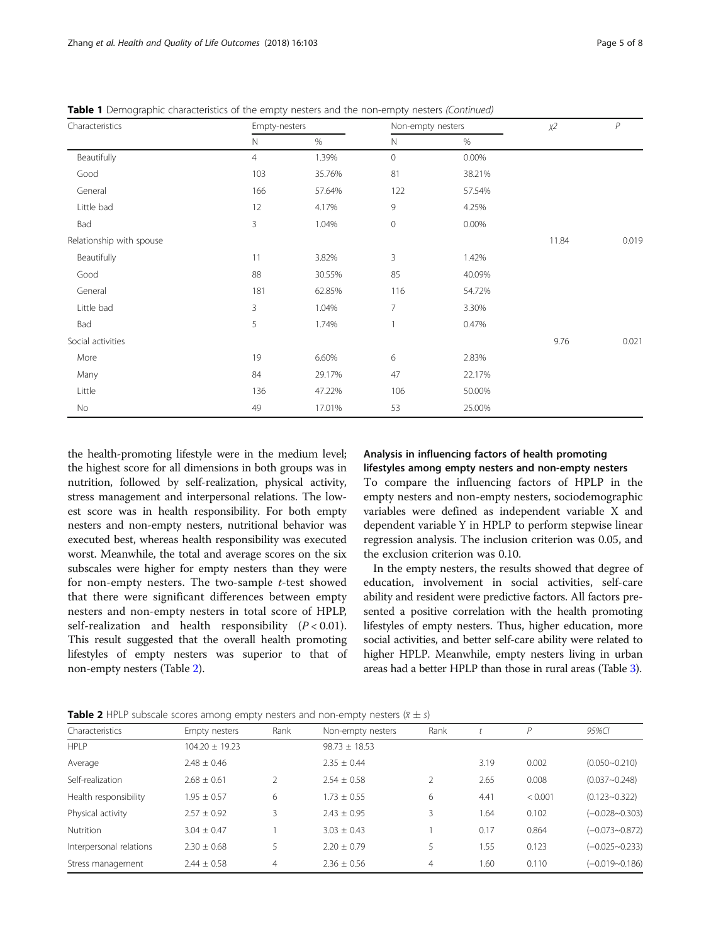| Characteristics          | Empty-nesters  |        |                | Non-empty nesters |       | $\mathcal P$ |
|--------------------------|----------------|--------|----------------|-------------------|-------|--------------|
|                          | $\mathsf{N}$   | $\%$   | $\mathbb N$    | $\%$              |       |              |
| Beautifully              | $\overline{4}$ | 1.39%  | $\mathbf{0}$   | 0.00%             |       |              |
| Good                     | 103            | 35.76% | 81             | 38.21%            |       |              |
| General                  | 166            | 57.64% | 122            | 57.54%            |       |              |
| Little bad               | 12             | 4.17%  | 9              | 4.25%             |       |              |
| Bad                      | 3              | 1.04%  | $\mathbf 0$    | 0.00%             |       |              |
| Relationship with spouse |                |        |                |                   | 11.84 | 0.019        |
| Beautifully              | 11             | 3.82%  | 3              | 1.42%             |       |              |
| Good                     | 88             | 30.55% | 85             | 40.09%            |       |              |
| General                  | 181            | 62.85% | 116            | 54.72%            |       |              |
| Little bad               | 3              | 1.04%  | $\overline{7}$ | 3.30%             |       |              |
| Bad                      | 5              | 1.74%  | 1              | 0.47%             |       |              |
| Social activities        |                |        |                |                   | 9.76  | 0.021        |
| More                     | 19             | 6.60%  | 6              | 2.83%             |       |              |
| Many                     | 84             | 29.17% | 47             | 22.17%            |       |              |
| Little                   | 136            | 47.22% | 106            | 50.00%            |       |              |
| No                       | 49             | 17.01% | 53             | 25.00%            |       |              |

**Table 1** Demographic characteristics of the empty nesters and the non-empty nesters (Continued)

the health-promoting lifestyle were in the medium level; the highest score for all dimensions in both groups was in nutrition, followed by self-realization, physical activity, stress management and interpersonal relations. The lowest score was in health responsibility. For both empty nesters and non-empty nesters, nutritional behavior was executed best, whereas health responsibility was executed worst. Meanwhile, the total and average scores on the six subscales were higher for empty nesters than they were for non-empty nesters. The two-sample t-test showed that there were significant differences between empty nesters and non-empty nesters in total score of HPLP, self-realization and health responsibility  $(P < 0.01)$ . This result suggested that the overall health promoting lifestyles of empty nesters was superior to that of non-empty nesters (Table 2).

# Analysis in influencing factors of health promoting

lifestyles among empty nesters and non-empty nesters To compare the influencing factors of HPLP in the empty nesters and non-empty nesters, sociodemographic variables were defined as independent variable X and dependent variable Y in HPLP to perform stepwise linear regression analysis. The inclusion criterion was 0.05, and the exclusion criterion was 0.10.

In the empty nesters, the results showed that degree of education, involvement in social activities, self-care ability and resident were predictive factors. All factors presented a positive correlation with the health promoting lifestyles of empty nesters. Thus, higher education, more social activities, and better self-care ability were related to higher HPLP. Meanwhile, empty nesters living in urban areas had a better HPLP than those in rural areas (Table [3\)](#page-5-0).

| <b>Table 2</b> HPLP subscale scores among empty nesters and non-empty nesters $(\overline{x} \pm s)$ |
|------------------------------------------------------------------------------------------------------|
|------------------------------------------------------------------------------------------------------|

| Characteristics         | Empty nesters      | Rank | Non-empty nesters | Rank           |      | P       | 95%CI              |
|-------------------------|--------------------|------|-------------------|----------------|------|---------|--------------------|
| HPI P                   | $104.20 \pm 19.23$ |      | $98.73 \pm 18.53$ |                |      |         |                    |
| Average                 | $2.48 \pm 0.46$    |      | $2.35 + 0.44$     |                | 3.19 | 0.002   | $(0.050 - 0.210)$  |
| Self-realization        | $2.68 \pm 0.61$    |      | $2.54 \pm 0.58$   |                | 2.65 | 0.008   | $(0.037 - 0.248)$  |
| Health responsibility   | $1.95 \pm 0.57$    | 6    | $1.73 \pm 0.55$   | 6              | 4.41 | < 0.001 | $(0.123 - 0.322)$  |
| Physical activity       | $2.57 \pm 0.92$    | 3    | $2.43 \pm 0.95$   | 3              | 1.64 | 0.102   | $(-0.028 - 0.303)$ |
| Nutrition               | $3.04 + 0.47$      |      | $3.03 + 0.43$     |                | 0.17 | 0.864   | $(-0.073 - 0.872)$ |
| Interpersonal relations | $2.30 + 0.68$      |      | $2.20 + 0.79$     |                | 1.55 | 0.123   | $(-0.025 - 0.233)$ |
| Stress management       | $2.44 \pm 0.58$    | 4    | $2.36 \pm 0.56$   | $\overline{4}$ | 1.60 | 0.110   | $(-0.019 - 0.186)$ |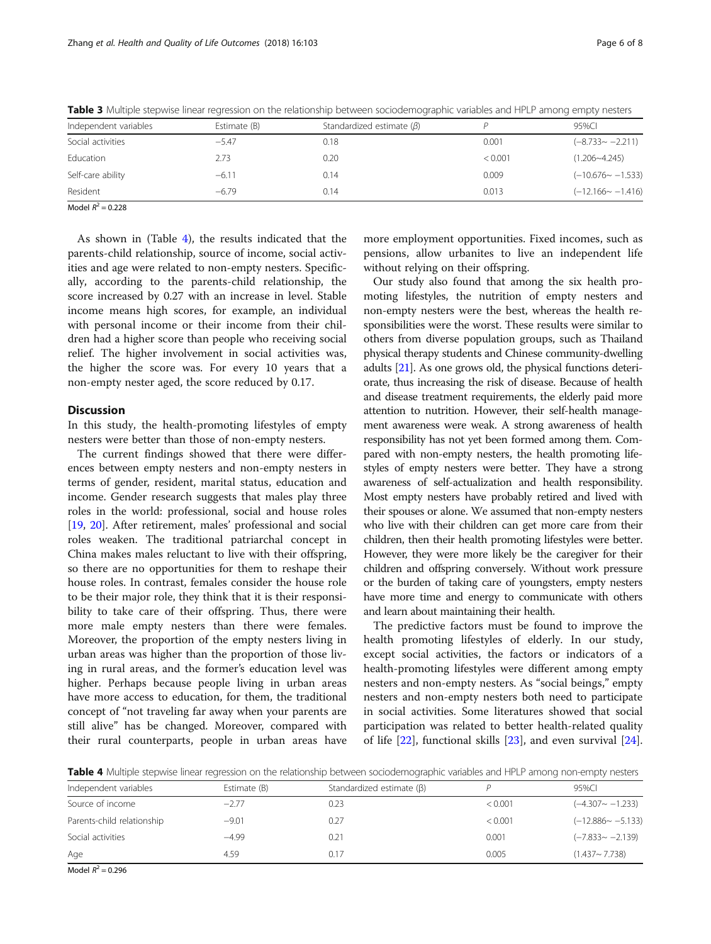| Independent variables | Estimate (B) | Standardized estimate $(\beta)$ |         | 95%CI                   |
|-----------------------|--------------|---------------------------------|---------|-------------------------|
| Social activities     | $-5.47$      | 0.18                            | 0.001   | $(-8.733 - -2.211)$     |
| Education             | 2.73         | 0.20                            | < 0.001 | $(1.206 - 4.245)$       |
| Self-care ability     | $-6.11$      | 0.14                            | 0.009   | $(-10.676 \sim -1.533)$ |
| Resident              | $-6.79$      | 0.14                            | 0.013   | $(-12.166 \sim -1.416)$ |

<span id="page-5-0"></span>Table 3 Multiple stepwise linear regression on the relationship between sociodemographic variables and HPLP among empty nesters

Model  $R^2 = 0.228$ 

As shown in (Table 4), the results indicated that the parents-child relationship, source of income, social activities and age were related to non-empty nesters. Specifically, according to the parents-child relationship, the score increased by 0.27 with an increase in level. Stable income means high scores, for example, an individual with personal income or their income from their children had a higher score than people who receiving social relief. The higher involvement in social activities was, the higher the score was. For every 10 years that a non-empty nester aged, the score reduced by 0.17.

#### **Discussion**

In this study, the health-promoting lifestyles of empty nesters were better than those of non-empty nesters.

The current findings showed that there were differences between empty nesters and non-empty nesters in terms of gender, resident, marital status, education and income. Gender research suggests that males play three roles in the world: professional, social and house roles [[19,](#page-7-0) [20](#page-7-0)]. After retirement, males' professional and social roles weaken. The traditional patriarchal concept in China makes males reluctant to live with their offspring, so there are no opportunities for them to reshape their house roles. In contrast, females consider the house role to be their major role, they think that it is their responsibility to take care of their offspring. Thus, there were more male empty nesters than there were females. Moreover, the proportion of the empty nesters living in urban areas was higher than the proportion of those living in rural areas, and the former's education level was higher. Perhaps because people living in urban areas have more access to education, for them, the traditional concept of "not traveling far away when your parents are still alive" has be changed. Moreover, compared with their rural counterparts, people in urban areas have

more employment opportunities. Fixed incomes, such as pensions, allow urbanites to live an independent life without relying on their offspring.

Our study also found that among the six health promoting lifestyles, the nutrition of empty nesters and non-empty nesters were the best, whereas the health responsibilities were the worst. These results were similar to others from diverse population groups, such as Thailand physical therapy students and Chinese community-dwelling adults [\[21](#page-7-0)]. As one grows old, the physical functions deteriorate, thus increasing the risk of disease. Because of health and disease treatment requirements, the elderly paid more attention to nutrition. However, their self-health management awareness were weak. A strong awareness of health responsibility has not yet been formed among them. Compared with non-empty nesters, the health promoting lifestyles of empty nesters were better. They have a strong awareness of self-actualization and health responsibility. Most empty nesters have probably retired and lived with their spouses or alone. We assumed that non-empty nesters who live with their children can get more care from their children, then their health promoting lifestyles were better. However, they were more likely be the caregiver for their children and offspring conversely. Without work pressure or the burden of taking care of youngsters, empty nesters have more time and energy to communicate with others and learn about maintaining their health.

The predictive factors must be found to improve the health promoting lifestyles of elderly. In our study, except social activities, the factors or indicators of a health-promoting lifestyles were different among empty nesters and non-empty nesters. As "social beings," empty nesters and non-empty nesters both need to participate in social activities. Some literatures showed that social participation was related to better health-related quality of life [\[22](#page-7-0)], functional skills [[23](#page-7-0)], and even survival [\[24](#page-7-0)].

Table 4 Multiple stepwise linear regression on the relationship between sociodemographic variables and HPLP among non-empty nesters

| Independent variables      | Estimate (B) | Standardized estimate $(\beta)$ |         | 95%CI                   |
|----------------------------|--------------|---------------------------------|---------|-------------------------|
| Source of income           | $-2.77$      | 0.23                            | < 0.001 | $(-4.307 - -1.233)$     |
| Parents-child relationship | $-9.01$      | 0.27                            | < 0.001 | $(-12.886 \sim -5.133)$ |
| Social activities          | $-4.99$      | 0.21                            | 0.001   | $(-7.833 - -2.139)$     |
| Age                        | 4.59         | 0.17                            | 0.005   | $(1.437 \sim 7.738)$    |

Model  $R^2 = 0.296$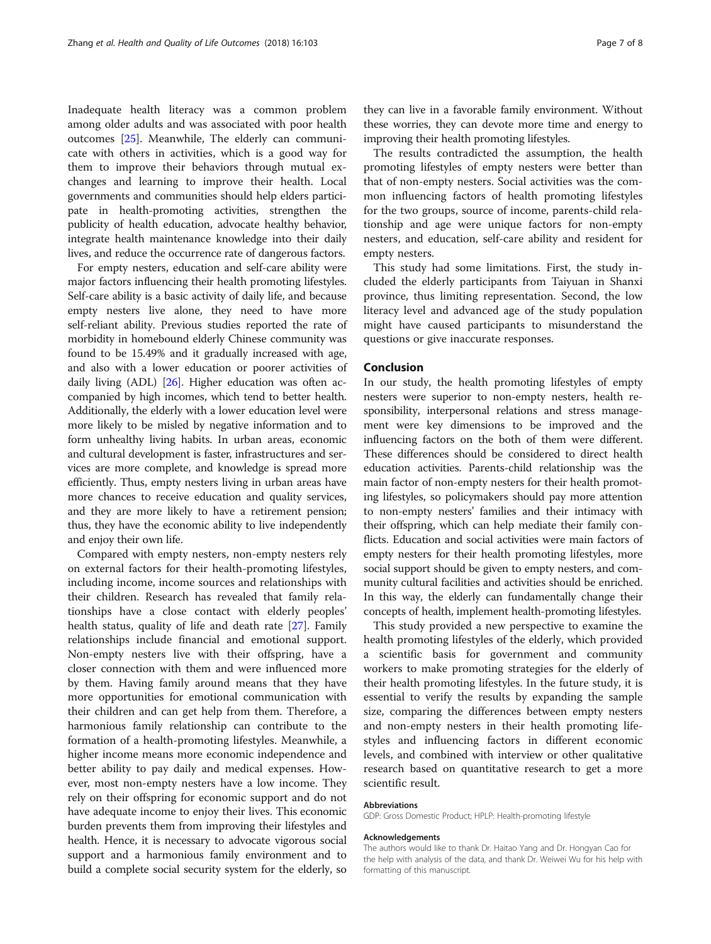Inadequate health literacy was a common problem among older adults and was associated with poor health outcomes [\[25](#page-7-0)]. Meanwhile, The elderly can communicate with others in activities, which is a good way for them to improve their behaviors through mutual exchanges and learning to improve their health. Local governments and communities should help elders participate in health-promoting activities, strengthen the publicity of health education, advocate healthy behavior, integrate health maintenance knowledge into their daily lives, and reduce the occurrence rate of dangerous factors.

For empty nesters, education and self-care ability were major factors influencing their health promoting lifestyles. Self-care ability is a basic activity of daily life, and because empty nesters live alone, they need to have more self-reliant ability. Previous studies reported the rate of morbidity in homebound elderly Chinese community was found to be 15.49% and it gradually increased with age, and also with a lower education or poorer activities of daily living (ADL) [\[26\]](#page-7-0). Higher education was often accompanied by high incomes, which tend to better health. Additionally, the elderly with a lower education level were more likely to be misled by negative information and to form unhealthy living habits. In urban areas, economic and cultural development is faster, infrastructures and services are more complete, and knowledge is spread more efficiently. Thus, empty nesters living in urban areas have more chances to receive education and quality services, and they are more likely to have a retirement pension; thus, they have the economic ability to live independently and enjoy their own life.

Compared with empty nesters, non-empty nesters rely on external factors for their health-promoting lifestyles, including income, income sources and relationships with their children. Research has revealed that family relationships have a close contact with elderly peoples' health status, quality of life and death rate [\[27](#page-7-0)]. Family relationships include financial and emotional support. Non-empty nesters live with their offspring, have a closer connection with them and were influenced more by them. Having family around means that they have more opportunities for emotional communication with their children and can get help from them. Therefore, a harmonious family relationship can contribute to the formation of a health-promoting lifestyles. Meanwhile, a higher income means more economic independence and better ability to pay daily and medical expenses. However, most non-empty nesters have a low income. They rely on their offspring for economic support and do not have adequate income to enjoy their lives. This economic burden prevents them from improving their lifestyles and health. Hence, it is necessary to advocate vigorous social support and a harmonious family environment and to build a complete social security system for the elderly, so

they can live in a favorable family environment. Without these worries, they can devote more time and energy to improving their health promoting lifestyles.

The results contradicted the assumption, the health promoting lifestyles of empty nesters were better than that of non-empty nesters. Social activities was the common influencing factors of health promoting lifestyles for the two groups, source of income, parents-child relationship and age were unique factors for non-empty nesters, and education, self-care ability and resident for empty nesters.

This study had some limitations. First, the study included the elderly participants from Taiyuan in Shanxi province, thus limiting representation. Second, the low literacy level and advanced age of the study population might have caused participants to misunderstand the questions or give inaccurate responses.

#### Conclusion

In our study, the health promoting lifestyles of empty nesters were superior to non-empty nesters, health responsibility, interpersonal relations and stress management were key dimensions to be improved and the influencing factors on the both of them were different. These differences should be considered to direct health education activities. Parents-child relationship was the main factor of non-empty nesters for their health promoting lifestyles, so policymakers should pay more attention to non-empty nesters' families and their intimacy with their offspring, which can help mediate their family conflicts. Education and social activities were main factors of empty nesters for their health promoting lifestyles, more social support should be given to empty nesters, and community cultural facilities and activities should be enriched. In this way, the elderly can fundamentally change their concepts of health, implement health-promoting lifestyles.

This study provided a new perspective to examine the health promoting lifestyles of the elderly, which provided a scientific basis for government and community workers to make promoting strategies for the elderly of their health promoting lifestyles. In the future study, it is essential to verify the results by expanding the sample size, comparing the differences between empty nesters and non-empty nesters in their health promoting lifestyles and influencing factors in different economic levels, and combined with interview or other qualitative research based on quantitative research to get a more scientific result.

#### Abbreviations

GDP: Gross Domestic Product; HPLP: Health-promoting lifestyle

#### Acknowledgements

The authors would like to thank Dr. Haitao Yang and Dr. Hongyan Cao for the help with analysis of the data, and thank Dr. Weiwei Wu for his help with formatting of this manuscript.